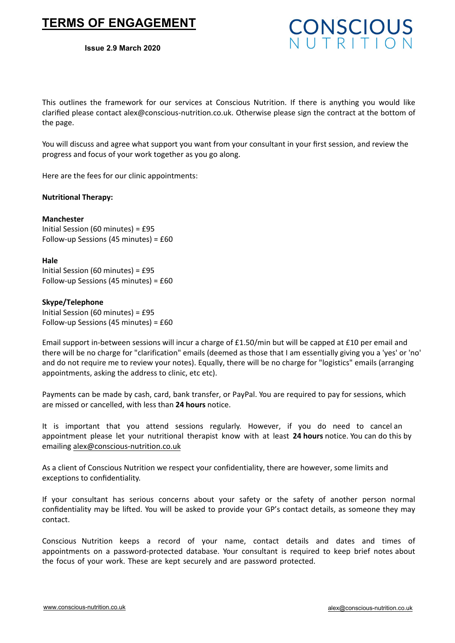# **TERMS OF ENGAGEMENT**

#### **Issue 2.9 March 2020**



This outlines the framework for our services at Conscious Nutrition. If there is anything you would like clarified please contact alex@conscious-nutrition.co.uk. Otherwise please sign the contract at the bottom of the page.

You will discuss and agree what support you want from your consultant in your first session, and review the progress and focus of your work together as you go along.

Here are the fees for our clinic appointments:

# **Nutritional Therapy:**

# **Manchester**

Initial Session (60 minutes) = £95 Follow-up Sessions (45 minutes) = £60

#### **Hale**

Initial Session (60 minutes) = £95 Follow-up Sessions (45 minutes) = £60

# **Skype/Telephone**

Initial Session (60 minutes) = £95 Follow-up Sessions (45 minutes) = £60

Email support in-between sessions will incur a charge of £1.50/min but will be capped at £10 per email and there will be no charge for "clarification" emails (deemed as those that I am essentially giving you a 'yes' or 'no' and do not require me to review your notes). Equally, there will be no charge for "logistics" emails (arranging appointments, asking the address to clinic, etc etc).

Payments can be made by cash, card, bank transfer, or PayPal. You are required to pay for sessions, which are missed or cancelled, with less than **24 hours** notice.

It is important that you attend sessions regularly. However, if you do need to cancel an appointment please let your nutritional therapist know with at least **24 hours** notice. You can do this by emailing alex@conscious-nutrition.co.uk

As a client of Conscious Nutrition we respect your confidentiality, there are however, some limits and exceptions to confidentiality.

If your consultant has serious concerns about your safety or the safety of another person normal confidentiality may be lifted. You will be asked to provide your GP's contact details, as someone they may contact.

Conscious Nutrition keeps a record of your name, contact details and dates and times of appointments on a password-protected database. Your consultant is required to keep brief notes about the focus of your work. These are kept securely and are password protected.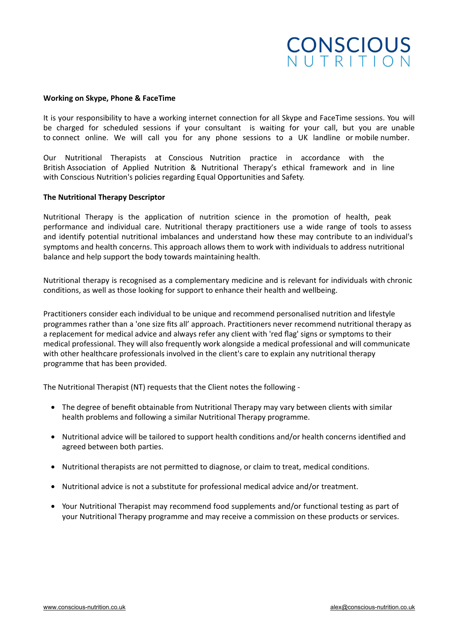# **CONSCIOUS**

#### **Working on Skype, Phone & FaceTime**

It is your responsibility to have a working internet connection for all Skype and FaceTime sessions. You will be charged for scheduled sessions if your consultant is waiting for your call, but you are unable to connect online. We will call you for any phone sessions to a UK landline or mobile number.

Our Nutritional Therapists at Conscious Nutrition practice in accordance with the British Association of Applied Nutrition & Nutritional Therapy's ethical framework and in line with Conscious Nutrition's policies regarding Equal Opportunities and Safety.

#### **The Nutritional Therapy Descriptor**

Nutritional Therapy is the application of nutrition science in the promotion of health, peak performance and individual care. Nutritional therapy practitioners use a wide range of tools to assess and identify potential nutritional imbalances and understand how these may contribute to an individual's symptoms and health concerns. This approach allows them to work with individuals to address nutritional balance and help support the body towards maintaining health.

Nutritional therapy is recognised as a complementary medicine and is relevant for individuals with chronic conditions, as well as those looking for support to enhance their health and wellbeing.

Practitioners consider each individual to be unique and recommend personalised nutrition and lifestyle programmes rather than a 'one size fits all' approach. Practitioners never recommend nutritional therapy as a replacement for medical advice and always refer any client with 'red flag' signs or symptoms to their medical professional. They will also frequently work alongside a medical professional and will communicate with other healthcare professionals involved in the client's care to explain any nutritional therapy programme that has been provided.

The Nutritional Therapist (NT) requests that the Client notes the following -

- The degree of benefit obtainable from Nutritional Therapy may vary between clients with similar health problems and following a similar Nutritional Therapy programme.
- Nutritional advice will be tailored to support health conditions and/or health concerns identified and agreed between both parties.
- Nutritional therapists are not permitted to diagnose, or claim to treat, medical conditions.
- Nutritional advice is not a substitute for professional medical advice and/or treatment.
- Your Nutritional Therapist may recommend food supplements and/or functional testing as part of your Nutritional Therapy programme and may receive a commission on these products or services.